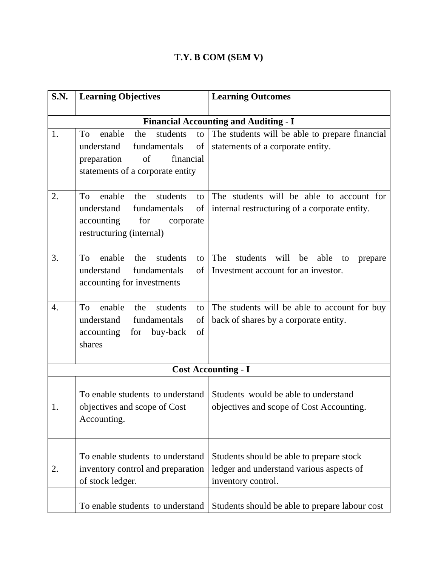## **T.Y. B COM (SEM V)**

| <b>S.N.</b> | <b>Learning Objectives</b>                        | <b>Learning Outcomes</b>                               |
|-------------|---------------------------------------------------|--------------------------------------------------------|
|             |                                                   | <b>Financial Accounting and Auditing - I</b>           |
| 1.          | the<br>students<br>To<br>enable<br>to             | The students will be able to prepare financial         |
|             | fundamentals<br>of<br>understand                  | statements of a corporate entity.                      |
|             | of<br>financial<br>preparation                    |                                                        |
|             | statements of a corporate entity                  |                                                        |
| 2.          | To<br>enable<br>the<br>students<br>to             | The students will be able to account for               |
|             | understand<br>fundamentals<br>of                  | internal restructuring of a corporate entity.          |
|             | accounting<br>for<br>corporate                    |                                                        |
|             | restructuring (internal)                          |                                                        |
| 3.          | enable<br>students<br>the<br>To<br>to             | The<br>students<br>will<br>be<br>able<br>to<br>prepare |
|             | understand<br>fundamentals<br>of                  | Investment account for an investor.                    |
|             | accounting for investments                        |                                                        |
| 4.          | T <sub>o</sub><br>enable<br>the<br>students<br>to | The students will be able to account for buy           |
|             | understand<br>fundamentals<br>of                  | back of shares by a corporate entity.                  |
|             | accounting<br>of<br>for<br>buy-back               |                                                        |
|             | shares                                            |                                                        |
|             |                                                   | <b>Cost Accounting - I</b>                             |
|             |                                                   |                                                        |
|             | To enable students to understand                  | Students would be able to understand                   |
|             | objectives and scope of Cost                      | objectives and scope of Cost Accounting.               |
|             | Accounting.                                       |                                                        |
|             |                                                   |                                                        |
|             | To enable students to understand                  | Students should be able to prepare stock               |
| 2.          | inventory control and preparation                 | ledger and understand various aspects of               |
|             | of stock ledger.                                  | inventory control.                                     |
|             | To enable students to understand                  | Students should be able to prepare labour cost         |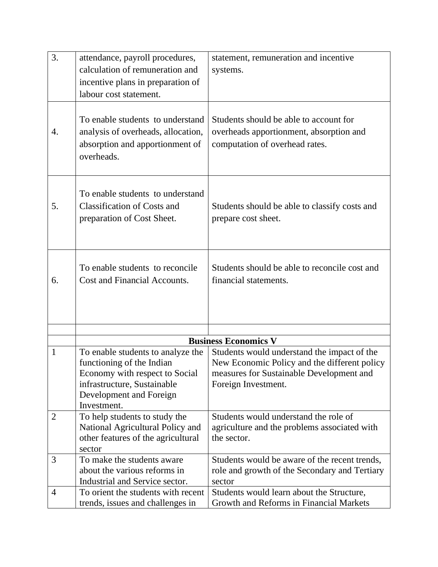| 3.             | attendance, payroll procedures,    | statement, remuneration and incentive         |
|----------------|------------------------------------|-----------------------------------------------|
|                | calculation of remuneration and    | systems.                                      |
|                | incentive plans in preparation of  |                                               |
|                | labour cost statement.             |                                               |
|                |                                    |                                               |
|                |                                    |                                               |
|                | To enable students to understand   | Students should be able to account for        |
| 4.             | analysis of overheads, allocation, | overheads apportionment, absorption and       |
|                | absorption and apportionment of    | computation of overhead rates.                |
|                | overheads.                         |                                               |
|                |                                    |                                               |
|                |                                    |                                               |
|                | To enable students to understand   |                                               |
| 5.             | <b>Classification of Costs and</b> | Students should be able to classify costs and |
|                | preparation of Cost Sheet.         | prepare cost sheet.                           |
|                |                                    |                                               |
|                |                                    |                                               |
|                |                                    |                                               |
|                | To enable students to reconcile    | Students should be able to reconcile cost and |
| 6.             | Cost and Financial Accounts.       | financial statements.                         |
|                |                                    |                                               |
|                |                                    |                                               |
|                |                                    |                                               |
|                |                                    |                                               |
|                |                                    | <b>Business Economics V</b>                   |
| 1              | To enable students to analyze the  | Students would understand the impact of the   |
|                | functioning of the Indian          | New Economic Policy and the different policy  |
|                | Economy with respect to Social     | measures for Sustainable Development and      |
|                | infrastructure, Sustainable        | Foreign Investment.                           |
|                | Development and Foreign            |                                               |
|                | Investment.                        |                                               |
| $\overline{2}$ | To help students to study the      | Students would understand the role of         |
|                | National Agricultural Policy and   | agriculture and the problems associated with  |
|                | other features of the agricultural | the sector.                                   |
|                | sector                             |                                               |
| 3              | To make the students aware         | Students would be aware of the recent trends, |
|                | about the various reforms in       | role and growth of the Secondary and Tertiary |
|                | Industrial and Service sector.     | sector                                        |
| $\overline{4}$ | To orient the students with recent | Students would learn about the Structure,     |
|                | trends, issues and challenges in   | Growth and Reforms in Financial Markets       |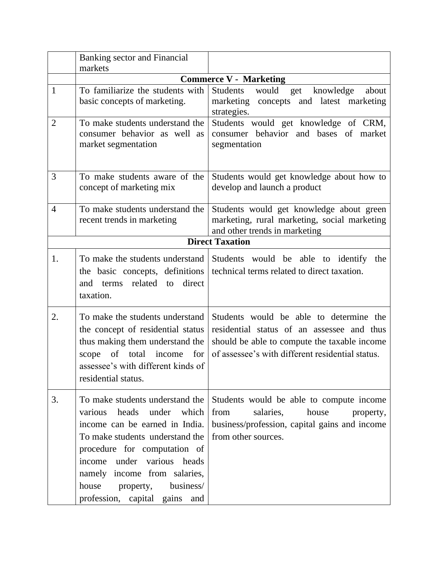|                | Banking sector and Financial<br>markets                                                                                                                                                                                                                                                                |                                                                                                                                                                                           |
|----------------|--------------------------------------------------------------------------------------------------------------------------------------------------------------------------------------------------------------------------------------------------------------------------------------------------------|-------------------------------------------------------------------------------------------------------------------------------------------------------------------------------------------|
|                |                                                                                                                                                                                                                                                                                                        | <b>Commerce V - Marketing</b>                                                                                                                                                             |
| $\mathbf{1}$   | To familiarize the students with<br>basic concepts of marketing.                                                                                                                                                                                                                                       | Students<br>would<br>knowledge<br>about<br>get<br>marketing concepts and latest marketing<br>strategies.                                                                                  |
| $\overline{2}$ | To make students understand the<br>consumer behavior as well as<br>market segmentation                                                                                                                                                                                                                 | Students would get knowledge of CRM,<br>consumer behavior and bases of market<br>segmentation                                                                                             |
| 3              | To make students aware of the<br>concept of marketing mix                                                                                                                                                                                                                                              | Students would get knowledge about how to<br>develop and launch a product                                                                                                                 |
| $\overline{4}$ | To make students understand the<br>recent trends in marketing                                                                                                                                                                                                                                          | Students would get knowledge about green<br>marketing, rural marketing, social marketing<br>and other trends in marketing                                                                 |
|                |                                                                                                                                                                                                                                                                                                        | <b>Direct Taxation</b>                                                                                                                                                                    |
| 1.             | To make the students understand<br>the basic concepts, definitions<br>related to<br>direct<br>and terms<br>taxation.                                                                                                                                                                                   | Students would be able to identify the<br>technical terms related to direct taxation.                                                                                                     |
| 2.             | To make the students understand<br>the concept of residential status<br>thus making them understand the<br>scope of total income for<br>assessee's with different kinds of<br>residential status.                                                                                                      | Students would be able to determine the<br>residential status of an assessee and thus<br>should be able to compute the taxable income<br>of assessee's with different residential status. |
| 3.             | To make students understand the<br>heads under which<br>various<br>income can be earned in India.<br>To make students understand the<br>procedure for computation of<br>income under various heads<br>namely income from salaries,<br>business/<br>house<br>property,<br>profession, capital gains and | Students would be able to compute income<br>from<br>salaries,<br>house<br>property,<br>business/profession, capital gains and income<br>from other sources.                               |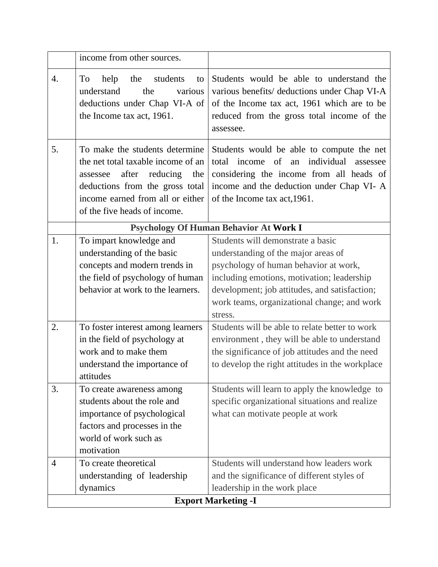|                | income from other sources.                                                                                                                                                                                       |                                                                                                                                                                                                                                                                            |
|----------------|------------------------------------------------------------------------------------------------------------------------------------------------------------------------------------------------------------------|----------------------------------------------------------------------------------------------------------------------------------------------------------------------------------------------------------------------------------------------------------------------------|
| 4.             | To<br>help<br>the<br>students<br>to<br>understand<br>the<br>various<br>deductions under Chap VI-A of<br>the Income tax act, 1961.                                                                                | Students would be able to understand the<br>various benefits/ deductions under Chap VI-A<br>of the Income tax act, 1961 which are to be<br>reduced from the gross total income of the<br>assessee.                                                                         |
| 5.             | To make the students determine<br>the net total taxable income of an<br>after reducing<br>assessee<br>the<br>deductions from the gross total<br>income earned from all or either<br>of the five heads of income. | Students would be able to compute the net<br>individual<br>total income of<br>an<br>assessee<br>considering the income from all heads of<br>income and the deduction under Chap VI-A<br>of the Income tax act, 1961.                                                       |
|                |                                                                                                                                                                                                                  | Psychology Of Human Behavior At Work I                                                                                                                                                                                                                                     |
| 1.             | To impart knowledge and<br>understanding of the basic<br>concepts and modern trends in<br>the field of psychology of human<br>behavior at work to the learners.                                                  | Students will demonstrate a basic<br>understanding of the major areas of<br>psychology of human behavior at work,<br>including emotions, motivation; leadership<br>development; job attitudes, and satisfaction;<br>work teams, organizational change; and work<br>stress. |
| 2.             | To foster interest among learners<br>in the field of psychology at<br>work and to make them<br>understand the importance of<br>attitudes                                                                         | Students will be able to relate better to work<br>environment, they will be able to understand<br>the significance of job attitudes and the need<br>to develop the right attitudes in the workplace                                                                        |
| 3.             | To create awareness among<br>students about the role and<br>importance of psychological<br>factors and processes in the<br>world of work such as<br>motivation                                                   | Students will learn to apply the knowledge to<br>specific organizational situations and realize<br>what can motivate people at work                                                                                                                                        |
| $\overline{4}$ | To create theoretical<br>understanding of leadership<br>dynamics                                                                                                                                                 | Students will understand how leaders work<br>and the significance of different styles of<br>leadership in the work place<br><b>Export Marketing -I</b>                                                                                                                     |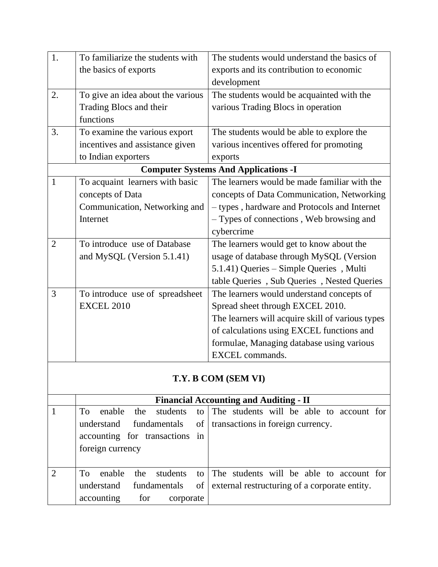| 1.             | To familiarize the students with  | The students would understand the basics of      |
|----------------|-----------------------------------|--------------------------------------------------|
|                | the basics of exports             | exports and its contribution to economic         |
|                |                                   | development                                      |
| 2.             | To give an idea about the various | The students would be acquainted with the        |
|                | Trading Blocs and their           | various Trading Blocs in operation               |
|                | functions                         |                                                  |
| 3.             | To examine the various export     | The students would be able to explore the        |
|                | incentives and assistance given   | various incentives offered for promoting         |
|                | to Indian exporters               | exports                                          |
|                |                                   | <b>Computer Systems And Applications -I</b>      |
| $\mathbf{1}$   | To acquaint learners with basic   | The learners would be made familiar with the     |
|                | concepts of Data                  | concepts of Data Communication, Networking       |
|                | Communication, Networking and     | - types, hardware and Protocols and Internet     |
|                | Internet                          | - Types of connections, Web browsing and         |
|                |                                   | cybercrime                                       |
| $\overline{2}$ | To introduce use of Database      | The learners would get to know about the         |
|                | and MySQL (Version 5.1.41)        | usage of database through MySQL (Version         |
|                |                                   | 5.1.41) Queries - Simple Queries, Multi          |
|                |                                   | table Queries, Sub Queries, Nested Queries       |
| 3              | To introduce use of spreadsheet   | The learners would understand concepts of        |
|                | <b>EXCEL 2010</b>                 | Spread sheet through EXCEL 2010.                 |
|                |                                   | The learners will acquire skill of various types |
|                |                                   | of calculations using EXCEL functions and        |
|                |                                   | formulae, Managing database using various        |
|                |                                   | <b>EXCEL</b> commands.                           |
|                |                                   |                                                  |

## **T.Y. B COM (SEM VI)**

|                |                                  |    | <b>Financial Accounting and Auditing - II</b> |
|----------------|----------------------------------|----|-----------------------------------------------|
|                | enable the students<br>To To     |    | to The students will be able to account for   |
|                | understand fundamentals          | of | transactions in foreign currency.             |
|                | accounting for transactions in   |    |                                               |
|                | foreign currency                 |    |                                               |
|                |                                  |    |                                               |
| $\overline{2}$ | enable<br>the<br>students<br>To. |    | to The students will be able to account for   |
|                | fundamentals<br>understand       | of | external restructuring of a corporate entity. |
|                | accounting<br>for<br>corporate   |    |                                               |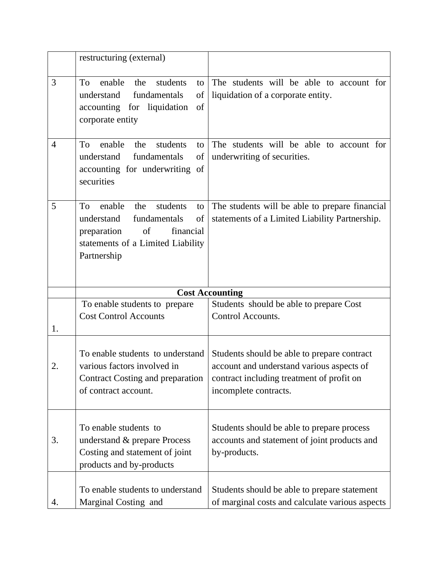|                | restructuring (external)                                                                                                                                        |                                                                                                                                                                |
|----------------|-----------------------------------------------------------------------------------------------------------------------------------------------------------------|----------------------------------------------------------------------------------------------------------------------------------------------------------------|
| 3              | enable<br>students<br>To<br>the<br>to<br>understand<br>fundamentals<br>of<br>of<br>accounting for liquidation<br>corporate entity                               | The students will be able to account for<br>liquidation of a corporate entity.                                                                                 |
| $\overline{4}$ | enable<br>students<br>To<br>the<br>to<br>understand<br>fundamentals<br>of<br>accounting for underwriting of<br>securities                                       | The students will be able to account for<br>underwriting of securities.                                                                                        |
| 5              | enable<br>the<br>students<br>To<br>to<br>fundamentals<br>of<br>understand<br>of<br>financial<br>preparation<br>statements of a Limited Liability<br>Partnership | The students will be able to prepare financial<br>statements of a Limited Liability Partnership.                                                               |
|                |                                                                                                                                                                 | <b>Cost Accounting</b>                                                                                                                                         |
| 1.             | To enable students to prepare<br><b>Cost Control Accounts</b>                                                                                                   | Students should be able to prepare Cost<br>Control Accounts.                                                                                                   |
| 2.             | To enable students to understand<br>various factors involved in<br>Contract Costing and preparation<br>of contract account.                                     | Students should be able to prepare contract<br>account and understand various aspects of<br>contract including treatment of profit on<br>incomplete contracts. |
| 3.             | To enable students to<br>understand & prepare Process<br>Costing and statement of joint<br>products and by-products                                             | Students should be able to prepare process<br>accounts and statement of joint products and<br>by-products.                                                     |
| 4.             | To enable students to understand<br>Marginal Costing and                                                                                                        | Students should be able to prepare statement<br>of marginal costs and calculate various aspects                                                                |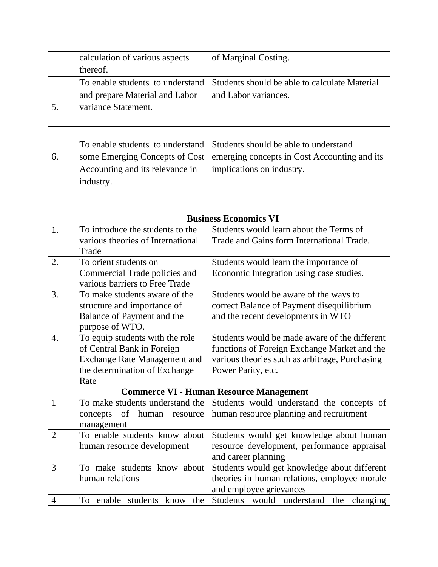|                | calculation of various aspects             | of Marginal Costing.                           |
|----------------|--------------------------------------------|------------------------------------------------|
|                | thereof.                                   |                                                |
|                | To enable students to understand           | Students should be able to calculate Material  |
|                | and prepare Material and Labor             | and Labor variances.                           |
| 5.             | variance Statement.                        |                                                |
|                |                                            |                                                |
|                |                                            |                                                |
|                | To enable students to understand           | Students should be able to understand          |
| 6.             | some Emerging Concepts of Cost             | emerging concepts in Cost Accounting and its   |
|                | Accounting and its relevance in            | implications on industry.                      |
|                | industry.                                  |                                                |
|                |                                            |                                                |
|                |                                            |                                                |
|                |                                            | <b>Business Economics VI</b>                   |
| 1.             | To introduce the students to the           | Students would learn about the Terms of        |
|                | various theories of International<br>Trade | Trade and Gains form International Trade.      |
| 2.             | To orient students on                      | Students would learn the importance of         |
|                | Commercial Trade policies and              | Economic Integration using case studies.       |
|                | various barriers to Free Trade             |                                                |
| 3.             | To make students aware of the              | Students would be aware of the ways to         |
|                | structure and importance of                | correct Balance of Payment disequilibrium      |
|                | Balance of Payment and the                 | and the recent developments in WTO             |
|                | purpose of WTO.                            |                                                |
| 4.             | To equip students with the role            | Students would be made aware of the different  |
|                | of Central Bank in Foreign                 | functions of Foreign Exchange Market and the   |
|                | <b>Exchange Rate Management and</b>        | various theories such as arbitrage, Purchasing |
|                | the determination of Exchange              | Power Parity, etc.                             |
|                | Rate                                       |                                                |
|                |                                            | <b>Commerce VI - Human Resource Management</b> |
| $\mathbf{1}$   | To make students understand the            | Students would understand the concepts of      |
|                | concepts of human resource<br>management   | human resource planning and recruitment        |
| $\overline{2}$ | To enable students know about              | Students would get knowledge about human       |
|                | human resource development                 | resource development, performance appraisal    |
|                |                                            | and career planning                            |
| 3              | To make students know about                | Students would get knowledge about different   |
|                | human relations                            | theories in human relations, employee morale   |
|                |                                            | and employee grievances                        |
| 4              | To enable students know the                | Students would understand the changing         |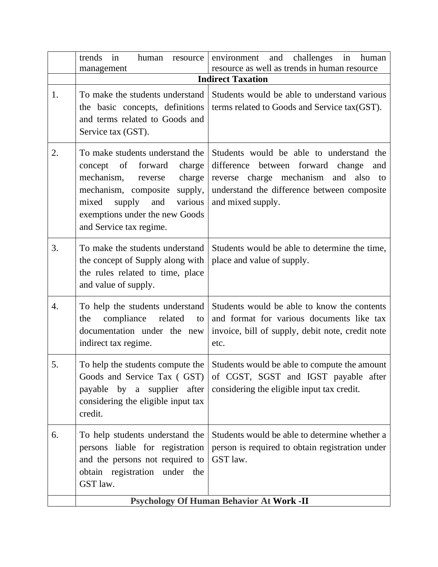|    | in<br>human<br>trends<br>resource<br>management                                                                                                                                                                                               | in<br>and<br>challenges<br>human<br>environment<br>resource as well as trends in human resource                                                                                                  |
|----|-----------------------------------------------------------------------------------------------------------------------------------------------------------------------------------------------------------------------------------------------|--------------------------------------------------------------------------------------------------------------------------------------------------------------------------------------------------|
|    |                                                                                                                                                                                                                                               | <b>Indirect Taxation</b>                                                                                                                                                                         |
| 1. | To make the students understand<br>the basic concepts, definitions<br>and terms related to Goods and<br>Service tax (GST).                                                                                                                    | Students would be able to understand various<br>terms related to Goods and Service tax(GST).                                                                                                     |
| 2. | To make students understand the<br>of<br>forward<br>concept<br>charge<br>mechanism,<br>charge<br>reverse<br>mechanism, composite<br>supply,<br>mixed<br>supply<br>various<br>and<br>exemptions under the new Goods<br>and Service tax regime. | Students would be able to understand the<br>difference between forward change<br>and<br>reverse charge mechanism and also to<br>understand the difference between composite<br>and mixed supply. |
| 3. | To make the students understand<br>the concept of Supply along with<br>the rules related to time, place<br>and value of supply.                                                                                                               | Students would be able to determine the time,<br>place and value of supply.                                                                                                                      |
| 4. | To help the students understand<br>compliance related<br>the<br>to<br>documentation under the new<br>indirect tax regime.                                                                                                                     | Students would be able to know the contents<br>and format for various documents like tax<br>invoice, bill of supply, debit note, credit note<br>etc.                                             |
| 5. | To help the students compute the<br>Goods and Service Tax (GST)<br>payable by a supplier after<br>considering the eligible input tax<br>credit.                                                                                               | Students would be able to compute the amount<br>of CGST, SGST and IGST payable after<br>considering the eligible input tax credit.                                                               |
| 6. | To help students understand the<br>persons liable for registration<br>and the persons not required to<br>obtain registration under the<br>GST law.                                                                                            | Students would be able to determine whether a<br>person is required to obtain registration under<br>GST law.                                                                                     |
|    |                                                                                                                                                                                                                                               | <b>Psychology Of Human Behavior At Work -II</b>                                                                                                                                                  |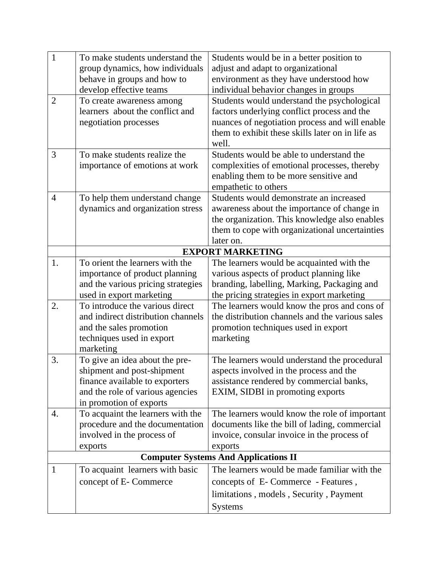| $\mathbf{1}$   | To make students understand the    | Students would be in a better position to        |
|----------------|------------------------------------|--------------------------------------------------|
|                | group dynamics, how individuals    | adjust and adapt to organizational               |
|                | behave in groups and how to        | environment as they have understood how          |
|                | develop effective teams            | individual behavior changes in groups            |
| 2              | To create awareness among          | Students would understand the psychological      |
|                | learners about the conflict and    | factors underlying conflict process and the      |
|                | negotiation processes              | nuances of negotiation process and will enable   |
|                |                                    | them to exhibit these skills later on in life as |
|                |                                    | well.                                            |
| 3              | To make students realize the       | Students would be able to understand the         |
|                | importance of emotions at work     | complexities of emotional processes, thereby     |
|                |                                    | enabling them to be more sensitive and           |
|                |                                    | empathetic to others                             |
| $\overline{4}$ | To help them understand change     | Students would demonstrate an increased          |
|                | dynamics and organization stress   | awareness about the importance of change in      |
|                |                                    | the organization. This knowledge also enables    |
|                |                                    | them to cope with organizational uncertainties   |
|                |                                    | later on.                                        |
|                |                                    | <b>EXPORT MARKETING</b>                          |
| 1.             | To orient the learners with the    | The learners would be acquainted with the        |
|                | importance of product planning     | various aspects of product planning like         |
|                | and the various pricing strategies | branding, labelling, Marking, Packaging and      |
|                | used in export marketing           | the pricing strategies in export marketing       |
| 2.             | To introduce the various direct    | The learners would know the pros and cons of     |
|                | and indirect distribution channels | the distribution channels and the various sales  |
|                | and the sales promotion            | promotion techniques used in export              |
|                | techniques used in export          | marketing                                        |
|                | marketing                          |                                                  |
| 3.             | To give an idea about the pre-     | The learners would understand the procedural     |
|                | shipment and post-shipment         | aspects involved in the process and the          |
|                | finance available to exporters     | assistance rendered by commercial banks,         |
|                | and the role of various agencies   | EXIM, SIDBI in promoting exports                 |
|                | in promotion of exports            |                                                  |
| 4.             | To acquaint the learners with the  | The learners would know the role of important    |
|                | procedure and the documentation    | documents like the bill of lading, commercial    |
|                | involved in the process of         | invoice, consular invoice in the process of      |
|                | exports                            | exports                                          |
|                |                                    | <b>Computer Systems And Applications II</b>      |
| $\mathbf{1}$   | To acquaint learners with basic    | The learners would be made familiar with the     |
|                | concept of E-Commerce              | concepts of E-Commerce - Features,               |
|                |                                    | limitations, models, Security, Payment           |
|                |                                    | <b>Systems</b>                                   |